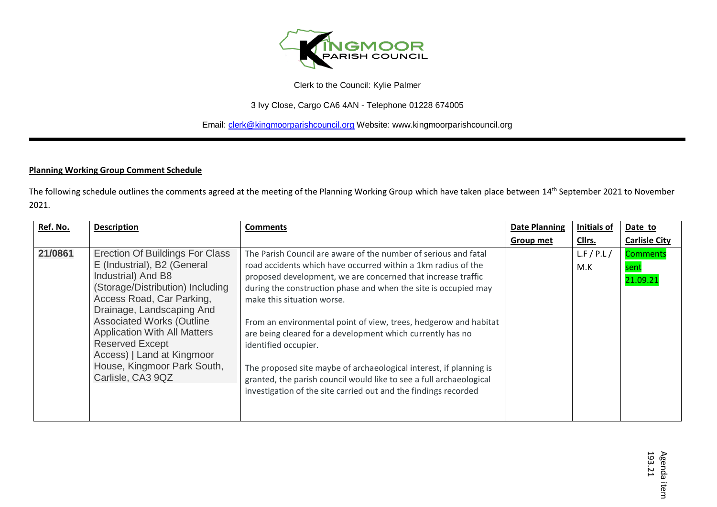

3 Ivy Close, Cargo CA6 4AN - Telephone 01228 674005

Email: [clerk@kingmoorparishcouncil.org](mailto:clerk@kingmoorparishcouncil.org) Website: www.kingmoorparishcouncil.org

## **Planning Working Group Comment Schedule**

The following schedule outlines the comments agreed at the meeting of the Planning Working Group which have taken place between 14<sup>th</sup> September 2021 to November 2021.

| Ref. No. | <b>Description</b>                                                                                                                                                                                                                                                                                                                                                        | <b>Comments</b>                                                                                                                                                                                                                                                                                                                                                                                                                                                                                                                                                                                                                                                             | <b>Date Planning</b> | <b>Initials of</b> | Date to                             |
|----------|---------------------------------------------------------------------------------------------------------------------------------------------------------------------------------------------------------------------------------------------------------------------------------------------------------------------------------------------------------------------------|-----------------------------------------------------------------------------------------------------------------------------------------------------------------------------------------------------------------------------------------------------------------------------------------------------------------------------------------------------------------------------------------------------------------------------------------------------------------------------------------------------------------------------------------------------------------------------------------------------------------------------------------------------------------------------|----------------------|--------------------|-------------------------------------|
|          |                                                                                                                                                                                                                                                                                                                                                                           |                                                                                                                                                                                                                                                                                                                                                                                                                                                                                                                                                                                                                                                                             | Group met            | Cllrs.             | <b>Carlisle City</b>                |
| 21/0861  | Erection Of Buildings For Class<br>E (Industrial), B2 (General<br>Industrial) And B8<br>(Storage/Distribution) Including<br>Access Road, Car Parking,<br>Drainage, Landscaping And<br><b>Associated Works (Outline</b><br><b>Application With All Matters</b><br><b>Reserved Except</b><br>Access)   Land at Kingmoor<br>House, Kingmoor Park South,<br>Carlisle, CA3 9QZ | The Parish Council are aware of the number of serious and fatal<br>road accidents which have occurred within a 1km radius of the<br>proposed development, we are concerned that increase traffic<br>during the construction phase and when the site is occupied may<br>make this situation worse.<br>From an environmental point of view, trees, hedgerow and habitat<br>are being cleared for a development which currently has no<br>identified occupier.<br>The proposed site maybe of archaeological interest, if planning is<br>granted, the parish council would like to see a full archaeological<br>investigation of the site carried out and the findings recorded |                      | L.F / P.L/<br>M.K  | <b>Comments</b><br>sent<br>21.09.21 |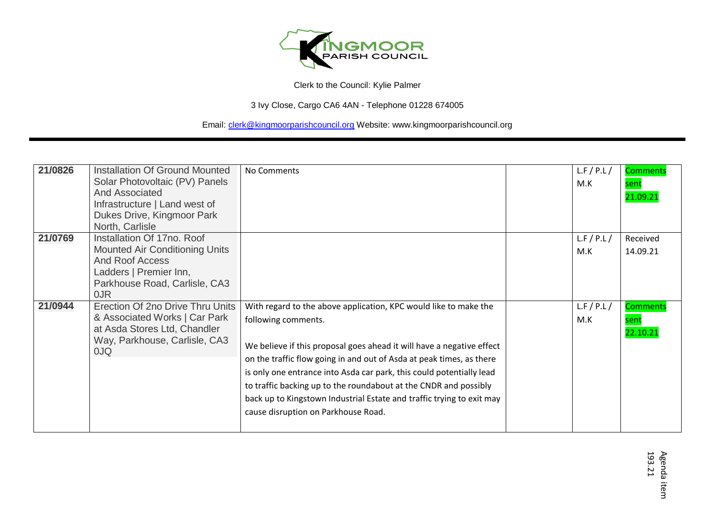

3 Ivy Close, Cargo CA6 4AN - Telephone 01228 674005

| 21/0826 | <b>Installation Of Ground Mounted</b><br>Solar Photovoltaic (PV) Panels                                                                                         | No Comments                                                                                                                                                                                                                                                                                                                                                                                                                                                                                          | L.F/P.L/<br>M.K | Comments<br>sent             |
|---------|-----------------------------------------------------------------------------------------------------------------------------------------------------------------|------------------------------------------------------------------------------------------------------------------------------------------------------------------------------------------------------------------------------------------------------------------------------------------------------------------------------------------------------------------------------------------------------------------------------------------------------------------------------------------------------|-----------------|------------------------------|
|         | <b>And Associated</b><br>Infrastructure   Land west of<br>Dukes Drive, Kingmoor Park<br>North, Carlisle                                                         |                                                                                                                                                                                                                                                                                                                                                                                                                                                                                                      |                 | 21.09.21                     |
| 21/0769 | Installation Of 17no. Roof<br><b>Mounted Air Conditioning Units</b><br><b>And Roof Access</b><br>Ladders   Premier Inn,<br>Parkhouse Road, Carlisle, CA3<br>0JR |                                                                                                                                                                                                                                                                                                                                                                                                                                                                                                      | L.F/P.L/<br>M.K | Received<br>14.09.21         |
| 21/0944 | Erection Of 2no Drive Thru Units<br>& Associated Works   Car Park<br>at Asda Stores Ltd, Chandler<br>Way, Parkhouse, Carlisle, CA3<br>OJQ                       | With regard to the above application, KPC would like to make the<br>following comments.<br>We believe if this proposal goes ahead it will have a negative effect<br>on the traffic flow going in and out of Asda at peak times, as there<br>is only one entrance into Asda car park, this could potentially lead<br>to traffic backing up to the roundabout at the CNDR and possibly<br>back up to Kingstown Industrial Estate and traffic trying to exit may<br>cause disruption on Parkhouse Road. | L.F/P.L/<br>M.K | Comments<br>sent<br>22.10.21 |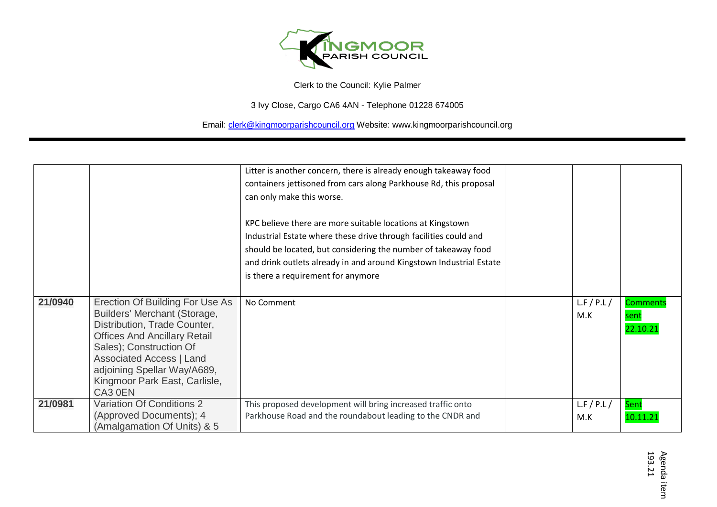

3 Ivy Close, Cargo CA6 4AN - Telephone 01228 674005

|         |                                                                                                                                                                                                                                                                                 | Litter is another concern, there is already enough takeaway food<br>containers jettisoned from cars along Parkhouse Rd, this proposal<br>can only make this worse.<br>KPC believe there are more suitable locations at Kingstown<br>Industrial Estate where these drive through facilities could and<br>should be located, but considering the number of takeaway food<br>and drink outlets already in and around Kingstown Industrial Estate<br>is there a requirement for anymore |                 |                                     |
|---------|---------------------------------------------------------------------------------------------------------------------------------------------------------------------------------------------------------------------------------------------------------------------------------|-------------------------------------------------------------------------------------------------------------------------------------------------------------------------------------------------------------------------------------------------------------------------------------------------------------------------------------------------------------------------------------------------------------------------------------------------------------------------------------|-----------------|-------------------------------------|
| 21/0940 | Erection Of Building For Use As<br>Builders' Merchant (Storage,<br>Distribution, Trade Counter,<br><b>Offices And Ancillary Retail</b><br>Sales); Construction Of<br><b>Associated Access   Land</b><br>adjoining Spellar Way/A689,<br>Kingmoor Park East, Carlisle,<br>CA3 0EN | No Comment                                                                                                                                                                                                                                                                                                                                                                                                                                                                          | L.F/P.L/<br>M.K | <b>Comments</b><br>sent<br>22.10.21 |
| 21/0981 | <b>Variation Of Conditions 2</b><br>(Approved Documents); 4<br>(Amalgamation Of Units) & 5                                                                                                                                                                                      | This proposed development will bring increased traffic onto<br>Parkhouse Road and the roundabout leading to the CNDR and                                                                                                                                                                                                                                                                                                                                                            | L.F/P.L/<br>M.K | Sent<br>10.11.21                    |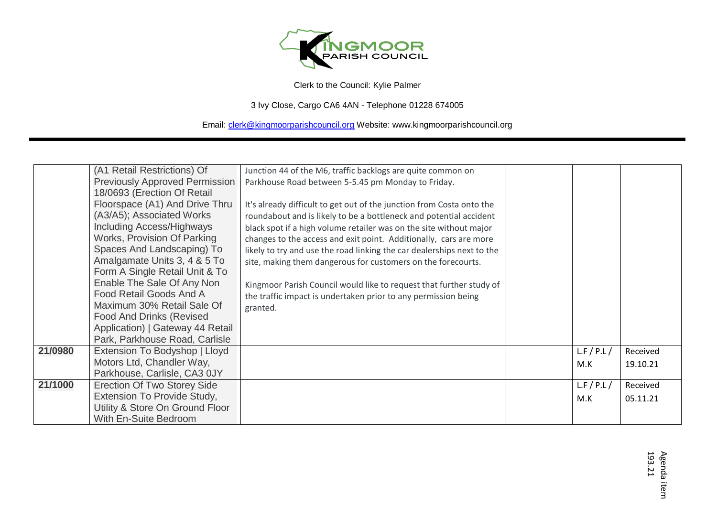

3 Ivy Close, Cargo CA6 4AN - Telephone 01228 674005

|         | (A1 Retail Restrictions) Of           | Junction 44 of the M6, traffic backlogs are quite common on            |          |          |
|---------|---------------------------------------|------------------------------------------------------------------------|----------|----------|
|         | <b>Previously Approved Permission</b> | Parkhouse Road between 5-5.45 pm Monday to Friday.                     |          |          |
|         | 18/0693 (Erection Of Retail           |                                                                        |          |          |
|         | Floorspace (A1) And Drive Thru        | It's already difficult to get out of the junction from Costa onto the  |          |          |
|         | (A3/A5); Associated Works             | roundabout and is likely to be a bottleneck and potential accident     |          |          |
|         | Including Access/Highways             | black spot if a high volume retailer was on the site without major     |          |          |
|         | Works, Provision Of Parking           | changes to the access and exit point. Additionally, cars are more      |          |          |
|         | Spaces And Landscaping) To            | likely to try and use the road linking the car dealerships next to the |          |          |
|         | Amalgamate Units 3, 4 & 5 To          | site, making them dangerous for customers on the forecourts.           |          |          |
|         | Form A Single Retail Unit & To        |                                                                        |          |          |
|         | Enable The Sale Of Any Non            | Kingmoor Parish Council would like to request that further study of    |          |          |
|         | Food Retail Goods And A               | the traffic impact is undertaken prior to any permission being         |          |          |
|         | Maximum 30% Retail Sale Of            | granted.                                                               |          |          |
|         | <b>Food And Drinks (Revised</b>       |                                                                        |          |          |
|         | Application)   Gateway 44 Retail      |                                                                        |          |          |
|         | Park, Parkhouse Road, Carlisle        |                                                                        |          |          |
| 21/0980 | Extension To Bodyshop   Lloyd         |                                                                        | L.F/P.L/ | Received |
|         | Motors Ltd, Chandler Way,             |                                                                        | M.K      | 19.10.21 |
|         | Parkhouse, Carlisle, CA3 0JY          |                                                                        |          |          |
| 21/1000 | <b>Erection Of Two Storey Side</b>    |                                                                        | L.F/P.L/ | Received |
|         | Extension To Provide Study,           |                                                                        | M.K      | 05.11.21 |
|         | Utility & Store On Ground Floor       |                                                                        |          |          |
|         | With En-Suite Bedroom                 |                                                                        |          |          |